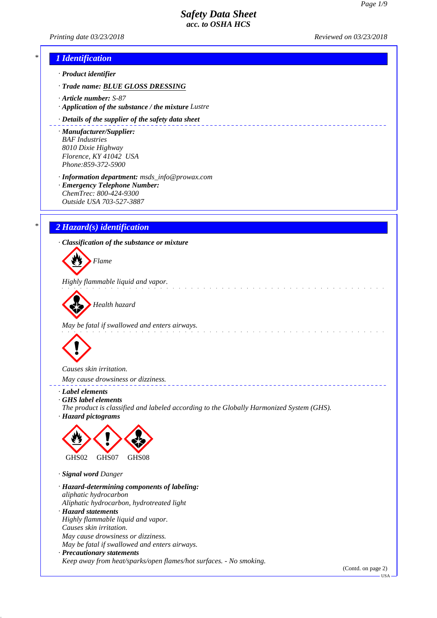# *Printing date 03/23/2018 Reviewed on 03/23/2018 \* 1 Identification · Product identifier · Trade name: BLUE GLOSS DRESSING · Article number: S-87 · Application of the substance / the mixture Lustre · Details of the supplier of the safety data sheet · Manufacturer/Supplier: BAF Industries 8010 Dixie Highway Florence, KY 41042 USA Phone:859-372-5900 · Information department: msds\_info@prowax.com · Emergency Telephone Number: ChemTrec: 800-424-9300 Outside USA 703-527-3887 \* 2 Hazard(s) identification · Classification of the substance or mixture Flame Highly flammable liquid and vapor. Health hazard May be fatal if swallowed and enters airways. Causes skin irritation. May cause drowsiness or dizziness. · Label elements · GHS label elements The product is classified and labeled according to the Globally Harmonized System (GHS). · Hazard pictograms* GHS02 GHS07 GHS08 *· Signal word Danger · Hazard-determining components of labeling: aliphatic hydrocarbon Aliphatic hydrocarbon, hydrotreated light · Hazard statements Highly flammable liquid and vapor. Causes skin irritation. May cause drowsiness or dizziness. May be fatal if swallowed and enters airways. · Precautionary statements Keep away from heat/sparks/open flames/hot surfaces. - No smoking.*

(Contd. on page 2)  $-1$ ISA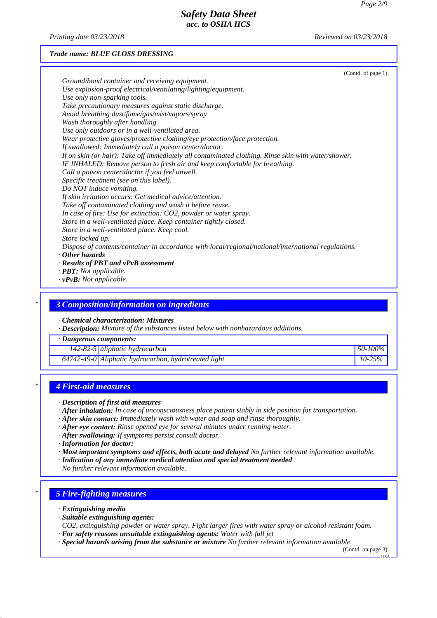*Printing date 03/23/2018 Reviewed on 03/23/2018*

### *Trade name: BLUE GLOSS DRESSING*

|                                                                                                     | (Contd. of page 1) |
|-----------------------------------------------------------------------------------------------------|--------------------|
| Ground/bond container and receiving equipment.                                                      |                    |
| Use explosion-proof electrical/ventilating/lighting/equipment.                                      |                    |
| Use only non-sparking tools.                                                                        |                    |
| Take precautionary measures against static discharge.                                               |                    |
| Avoid breathing dust/fume/gas/mist/vapors/spray                                                     |                    |
| Wash thoroughly after handling.                                                                     |                    |
| Use only outdoors or in a well-ventilated area.                                                     |                    |
| Wear protective gloves/protective clothing/eye protection/face protection.                          |                    |
| If swallowed: Immediately call a poison center/doctor.                                              |                    |
| If on skin (or hair): Take off immediately all contaminated clothing. Rinse skin with water/shower. |                    |
| IF INHALED: Remove person to fresh air and keep comfortable for breathing.                          |                    |
| Call a poison center/doctor if you feel unwell.                                                     |                    |
| Specific treatment (see on this label).                                                             |                    |
| Do NOT induce vomiting.                                                                             |                    |
| If skin irritation occurs: Get medical advice/attention.                                            |                    |
| Take off contaminated clothing and wash it before reuse.                                            |                    |
| In case of fire: Use for extinction: CO2, powder or water spray.                                    |                    |
| Store in a well-ventilated place. Keep container tightly closed.                                    |                    |
| Store in a well-ventilated place. Keep cool.                                                        |                    |
| Store locked up.                                                                                    |                    |
| Dispose of contents/container in accordance with local/regional/national/international regulations. |                    |
| $\cdot$ Other hazards                                                                               |                    |
| · Results of PBT and vPvB assessment                                                                |                    |
| · PBT: Not applicable.                                                                              |                    |
| $\cdot$ vPvB: Not applicable.                                                                       |                    |

*\* 3 Composition/information on ingredients*

*· Chemical characterization: Mixtures*

*· Description: Mixture of the substances listed below with nonhazardous additions.*

*· Dangerous components:*

*142-82-5 aliphatic hydrocarbon 50-100%*

*64742-49-0 Aliphatic hydrocarbon, hydrotreated light 10-25%*

## *\* 4 First-aid measures*

- *· Description of first aid measures*
- *· After inhalation: In case of unconsciousness place patient stably in side position for transportation.*
- *· After skin contact: Immediately wash with water and soap and rinse thoroughly.*
- *· After eye contact: Rinse opened eye for several minutes under running water.*
- *· After swallowing: If symptoms persist consult doctor.*

*· Information for doctor:*

- *· Most important symptoms and effects, both acute and delayed No further relevant information available.*
- *· Indication of any immediate medical attention and special treatment needed*

*No further relevant information available.*

## *\* 5 Fire-fighting measures*

- *· Extinguishing media*
- *· Suitable extinguishing agents:*
- *CO2, extinguishing powder or water spray. Fight larger fires with water spray or alcohol resistant foam.*
- *· For safety reasons unsuitable extinguishing agents: Water with full jet*
- *· Special hazards arising from the substance or mixture No further relevant information available.*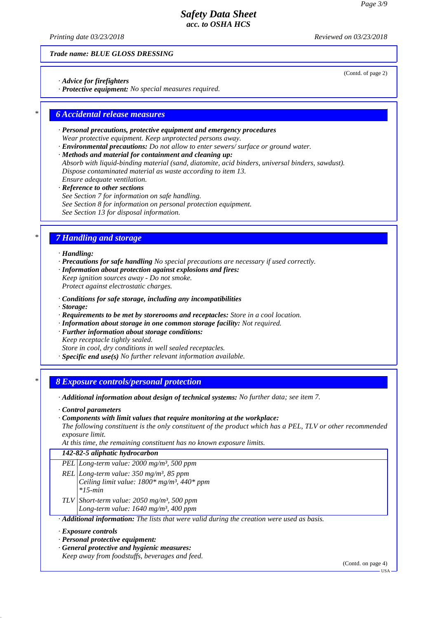*Printing date 03/23/2018 Reviewed on 03/23/2018*

*Trade name: BLUE GLOSS DRESSING*

- *· Advice for firefighters*
- *· Protective equipment: No special measures required.*

## *\* 6 Accidental release measures*

- *· Personal precautions, protective equipment and emergency procedures Wear protective equipment. Keep unprotected persons away.*
- *· Environmental precautions: Do not allow to enter sewers/ surface or ground water.*
- *· Methods and material for containment and cleaning up: Absorb with liquid-binding material (sand, diatomite, acid binders, universal binders, sawdust). Dispose contaminated material as waste according to item 13. Ensure adequate ventilation.*
- *· Reference to other sections See Section 7 for information on safe handling. See Section 8 for information on personal protection equipment. See Section 13 for disposal information.*

## *\* 7 Handling and storage*

### *· Handling:*

- *· Precautions for safe handling No special precautions are necessary if used correctly.*
- *· Information about protection against explosions and fires: Keep ignition sources away - Do not smoke. Protect against electrostatic charges.*
- 
- *· Conditions for safe storage, including any incompatibilities*
- *· Storage:*
- *· Requirements to be met by storerooms and receptacles: Store in a cool location.*
- *· Information about storage in one common storage facility: Not required. · Further information about storage conditions:*
- *Keep receptacle tightly sealed.*
- *Store in cool, dry conditions in well sealed receptacles.*
- *· Specific end use(s) No further relevant information available.*

## *\* 8 Exposure controls/personal protection*

- *· Additional information about design of technical systems: No further data; see item 7.*
- *· Control parameters*
- *· Components with limit values that require monitoring at the workplace:*
- *The following constituent is the only constituent of the product which has a PEL, TLV or other recommended exposure limit.*

*At this time, the remaining constituent has no known exposure limits.*

## *142-82-5 aliphatic hydrocarbon*

- *PEL Long-term value: 2000 mg/m³, 500 ppm*
- *REL Long-term value: 350 mg/m³, 85 ppm Ceiling limit value: 1800\* mg/m³, 440\* ppm \*15-min*
- *TLV Short-term value: 2050 mg/m³, 500 ppm Long-term value: 1640 mg/m³, 400 ppm*

*· Additional information: The lists that were valid during the creation were used as basis.*

#### *· Exposure controls*

- *· Personal protective equipment:*
- *· General protective and hygienic measures:*

*Keep away from foodstuffs, beverages and feed.*

(Contd. on page 4)

(Contd. of page 2)

USA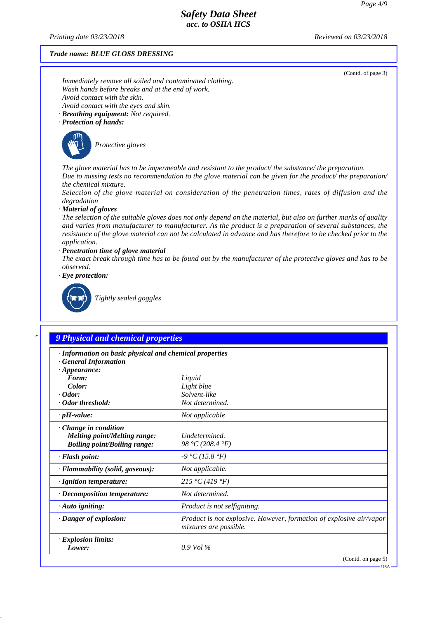*Printing date 03/23/2018 Reviewed on 03/23/2018*

#### *Trade name: BLUE GLOSS DRESSING*

(Contd. of page 3)

*Immediately remove all soiled and contaminated clothing. Wash hands before breaks and at the end of work. Avoid contact with the skin. Avoid contact with the eyes and skin.*

*· Breathing equipment: Not required.*

### *· Protection of hands:*



*Protective gloves*

*The glove material has to be impermeable and resistant to the product/ the substance/ the preparation. Due to missing tests no recommendation to the glove material can be given for the product/ the preparation/ the chemical mixture.*

*Selection of the glove material on consideration of the penetration times, rates of diffusion and the degradation*

#### *· Material of gloves*

*The selection of the suitable gloves does not only depend on the material, but also on further marks of quality and varies from manufacturer to manufacturer. As the product is a preparation of several substances, the resistance of the glove material can not be calculated in advance and has therefore to be checked prior to the application.*

### *· Penetration time of glove material*

*The exact break through time has to be found out by the manufacturer of the protective gloves and has to be observed.*

*· Eye protection:*



*Tightly sealed goggles*

## *\* 9 Physical and chemical properties*

| · Information on basic physical and chemical properties<br><b>General Information</b>                     |                                                                                               |
|-----------------------------------------------------------------------------------------------------------|-----------------------------------------------------------------------------------------------|
| $\cdot$ Appearance:                                                                                       |                                                                                               |
| Form:                                                                                                     | Liquid                                                                                        |
| Color:                                                                                                    | Light blue                                                                                    |
| $\cdot$ Odor:                                                                                             | Solvent-like                                                                                  |
| Odor threshold:                                                                                           | Not determined.                                                                               |
| $\cdot$ pH-value:                                                                                         | Not applicable                                                                                |
| $\cdot$ Change in condition<br><b>Melting point/Melting range:</b><br><b>Boiling point/Boiling range:</b> | Undetermined.<br>98 °C (208.4 °F)                                                             |
| · Flash point:                                                                                            | $-9 °C (15.8 °F)$                                                                             |
| · Flammability (solid, gaseous):                                                                          | Not applicable.                                                                               |
| · Ignition temperature:                                                                                   | 215 °C (419 °F)                                                                               |
| $\cdot$ Decomposition temperature:                                                                        | Not determined.                                                                               |
| $\cdot$ Auto igniting:                                                                                    | Product is not selfigniting.                                                                  |
| · Danger of explosion:                                                                                    | Product is not explosive. However, formation of explosive air/vapor<br>mixtures are possible. |
| <b>Explosion limits:</b><br>Lower:                                                                        | $0.9$ Vol $\%$                                                                                |
|                                                                                                           | (Contd. on page 5)                                                                            |

USA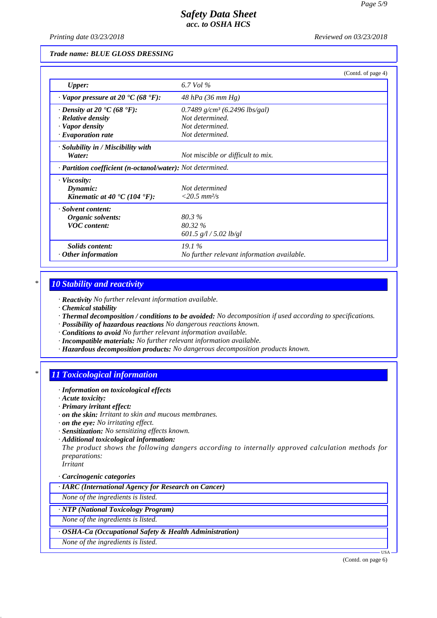*Printing date 03/23/2018 Reviewed on 03/23/2018*

### *Trade name: BLUE GLOSS DRESSING*

|                                                            | (Contd. of page 4)                         |
|------------------------------------------------------------|--------------------------------------------|
| <b>Upper:</b>                                              | 6.7 Vol $\%$                               |
| $\cdot$ Vapor pressure at 20 $\cdot$ C (68 $\cdot$ F):     | 48 hPa (36 mm Hg)                          |
| $\cdot$ Density at 20 $\cdot$ C (68 $\cdot$ F):            | 0.7489 $g/cm^3$ (6.2496 lbs/gal)           |
| $\cdot$ Relative density                                   | Not determined.                            |
| · Vapor density                                            | Not determined.                            |
| $\cdot$ Evaporation rate                                   | Not determined.                            |
| · Solubility in / Miscibility with<br>Water:               | Not miscible or difficult to mix.          |
| · Partition coefficient (n-octanol/water): Not determined. |                                            |
| $\cdot$ Viscosity:                                         |                                            |
| Dynamic:                                                   | Not determined                             |
| Kinematic at 40 $\textdegree$ C (104 $\textdegree$ F):     | $<20.5$ mm <sup>2</sup> /s                 |
| · Solvent content:                                         |                                            |
| Organic solvents:                                          | 80.3%                                      |
| <b>VOC</b> content:                                        | 80.32 %                                    |
|                                                            | 601.5 $g/l / 5.02 lb/gl$                   |
| Solids content:                                            | 19.1%                                      |
| $\cdot$ Other information                                  | No further relevant information available. |

## *\* 10 Stability and reactivity*

*· Reactivity No further relevant information available.*

- *· Chemical stability*
- *· Thermal decomposition / conditions to be avoided: No decomposition if used according to specifications.*
- *· Possibility of hazardous reactions No dangerous reactions known.*
- *· Conditions to avoid No further relevant information available.*
- *· Incompatible materials: No further relevant information available.*
- *· Hazardous decomposition products: No dangerous decomposition products known.*

## *\* 11 Toxicological information*

- *· Information on toxicological effects*
- *· Acute toxicity:*
- *· Primary irritant effect:*
- *· on the skin: Irritant to skin and mucous membranes.*
- *· on the eye: No irritating effect.*
- *· Sensitization: No sensitizing effects known.*
- *· Additional toxicological information:*

*The product shows the following dangers according to internally approved calculation methods for preparations: Irritant*

*· Carcinogenic categories*

*· IARC (International Agency for Research on Cancer)*

*None of the ingredients is listed.*

### *· NTP (National Toxicology Program)*

*None of the ingredients is listed.*

*· OSHA-Ca (Occupational Safety & Health Administration)*

*None of the ingredients is listed.*

(Contd. on page 6)

USA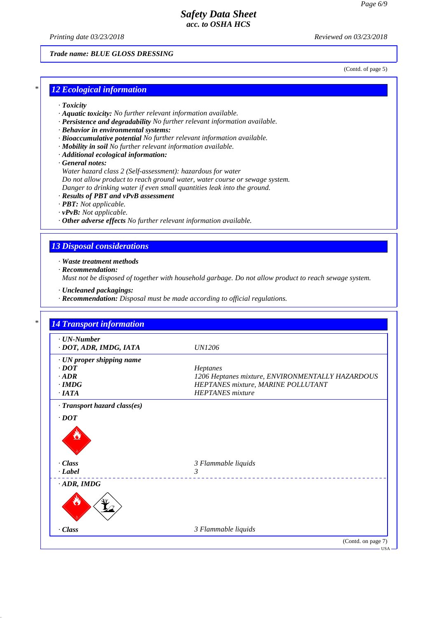*Printing date 03/23/2018 Reviewed on 03/23/2018*

### *Trade name: BLUE GLOSS DRESSING*

(Contd. of page 5)

## *\* 12 Ecological information*

- *· Toxicity*
- *· Aquatic toxicity: No further relevant information available.*
- *· Persistence and degradability No further relevant information available.*
- *· Behavior in environmental systems:*
- *· Bioaccumulative potential No further relevant information available.*
- *· Mobility in soil No further relevant information available.*
- *· Additional ecological information:*
- *· General notes:*

*Water hazard class 2 (Self-assessment): hazardous for water*

*Do not allow product to reach ground water, water course or sewage system.*

- *Danger to drinking water if even small quantities leak into the ground.*
- *· Results of PBT and vPvB assessment*
- *· PBT: Not applicable.*
- *· vPvB: Not applicable.*
- *· Other adverse effects No further relevant information available.*

### *13 Disposal considerations*

*· Waste treatment methods*

*· Recommendation:*

*Must not be disposed of together with household garbage. Do not allow product to reach sewage system.*

- *· Uncleaned packagings:*
- *· Recommendation: Disposal must be made according to official regulations.*

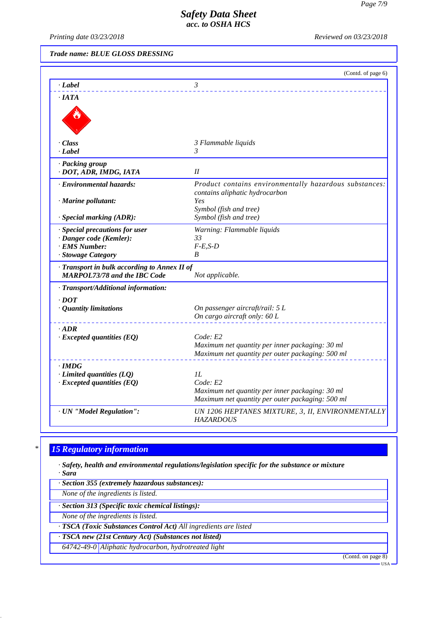*Printing date 03/23/2018 Reviewed on 03/23/2018*

*Trade name: BLUE GLOSS DRESSING*

|                                                                     | (Contd. of page 6)                                                                       |
|---------------------------------------------------------------------|------------------------------------------------------------------------------------------|
| · Label                                                             | $\mathfrak{Z}$                                                                           |
| $\cdot$ IATA                                                        |                                                                                          |
|                                                                     |                                                                                          |
| · Class                                                             | 3 Flammable liquids                                                                      |
| · Label                                                             | 3                                                                                        |
| · Packing group<br>· DOT, ADR, IMDG, IATA                           | I                                                                                        |
| · Environmental hazards:                                            | Product contains environmentally hazardous substances:<br>contains aliphatic hydrocarbon |
| · Marine pollutant:                                                 | Yes                                                                                      |
| · Special marking (ADR):                                            | Symbol (fish and tree)<br>Symbol (fish and tree)                                         |
|                                                                     |                                                                                          |
| · Special precautions for user<br>· Danger code (Kemler):           | Warning: Flammable liquids<br>33                                                         |
| · EMS Number:                                                       | $F-E,S-D$                                                                                |
| · Stowage Category                                                  | B                                                                                        |
| Transport in bulk according to Annex II of                          |                                                                                          |
| <b>MARPOL73/78 and the IBC Code</b>                                 | Not applicable.                                                                          |
| · Transport/Additional information:                                 |                                                                                          |
| $\cdot$ DOT                                                         |                                                                                          |
| · Quantity limitations                                              | On passenger aircraft/rail: 5 L                                                          |
|                                                                     | On cargo aircraft only: 60 L                                                             |
| $\cdot$ ADR                                                         |                                                                                          |
| $\cdot$ Excepted quantities (EQ)                                    | Code: E2                                                                                 |
|                                                                     | Maximum net quantity per inner packaging: 30 ml                                          |
|                                                                     | Maximum net quantity per outer packaging: 500 ml                                         |
| $\cdot$ IMDG                                                        |                                                                                          |
| $\cdot$ Limited quantities (LQ)<br>$\cdot$ Excepted quantities (EQ) | 1L<br>Code: E2                                                                           |
|                                                                     | Maximum net quantity per inner packaging: 30 ml                                          |
|                                                                     | Maximum net quantity per outer packaging: 500 ml                                         |
| · UN "Model Regulation":                                            | UN 1206 HEPTANES MIXTURE, 3, II, ENVIRONMENTALLY<br><b>HAZARDOUS</b>                     |

## *\* 15 Regulatory information*

*· Safety, health and environmental regulations/legislation specific for the substance or mixture · Sara*

*· Section 355 (extremely hazardous substances):*

*None of the ingredients is listed.*

*· Section 313 (Specific toxic chemical listings):*

*None of the ingredients is listed.*

*· TSCA (Toxic Substances Control Act) All ingredients are listed*

*· TSCA new (21st Century Act) (Substances not listed)*

*64742-49-0 Aliphatic hydrocarbon, hydrotreated light*

(Contd. on page 8)

USA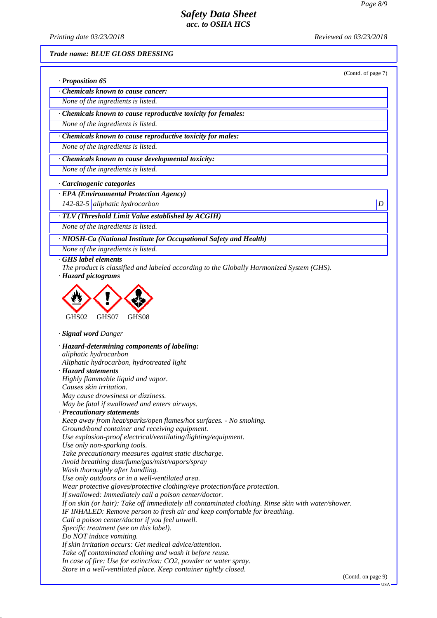*Printing date 03/23/2018 Reviewed on 03/23/2018*

(Contd. of page 7)

*Trade name: BLUE GLOSS DRESSING*

|  | · Proposition 65 |  |  |
|--|------------------|--|--|
|--|------------------|--|--|

*· Chemicals known to cause cancer:*

*None of the ingredients is listed.*

*· Chemicals known to cause reproductive toxicity for females:*

*None of the ingredients is listed.*

*· Chemicals known to cause reproductive toxicity for males:*

*None of the ingredients is listed.*

*· Chemicals known to cause developmental toxicity:*

*None of the ingredients is listed.*

*· Carcinogenic categories*

*· EPA (Environmental Protection Agency)*

*142-82-5 aliphatic hydrocarbon D* 

*· TLV (Threshold Limit Value established by ACGIH)*

*None of the ingredients is listed.*

*· NIOSH-Ca (National Institute for Occupational Safety and Health)*

*None of the ingredients is listed.*

*· GHS label elements*

*The product is classified and labeled according to the Globally Harmonized System (GHS).*

*· Hazard pictograms*



*· Signal word Danger*

*· Hazard-determining components of labeling: aliphatic hydrocarbon Aliphatic hydrocarbon, hydrotreated light · Hazard statements Highly flammable liquid and vapor. Causes skin irritation. May cause drowsiness or dizziness. May be fatal if swallowed and enters airways. · Precautionary statements Keep away from heat/sparks/open flames/hot surfaces. - No smoking. Ground/bond container and receiving equipment. Use explosion-proof electrical/ventilating/lighting/equipment. Use only non-sparking tools. Take precautionary measures against static discharge. Avoid breathing dust/fume/gas/mist/vapors/spray Wash thoroughly after handling. Use only outdoors or in a well-ventilated area. Wear protective gloves/protective clothing/eye protection/face protection. If swallowed: Immediately call a poison center/doctor. If on skin (or hair): Take off immediately all contaminated clothing. Rinse skin with water/shower. IF INHALED: Remove person to fresh air and keep comfortable for breathing. Call a poison center/doctor if you feel unwell. Specific treatment (see on this label). Do NOT induce vomiting. If skin irritation occurs: Get medical advice/attention. Take off contaminated clothing and wash it before reuse. In case of fire: Use for extinction: CO2, powder or water spray. Store in a well-ventilated place. Keep container tightly closed.*

(Contd. on page 9)